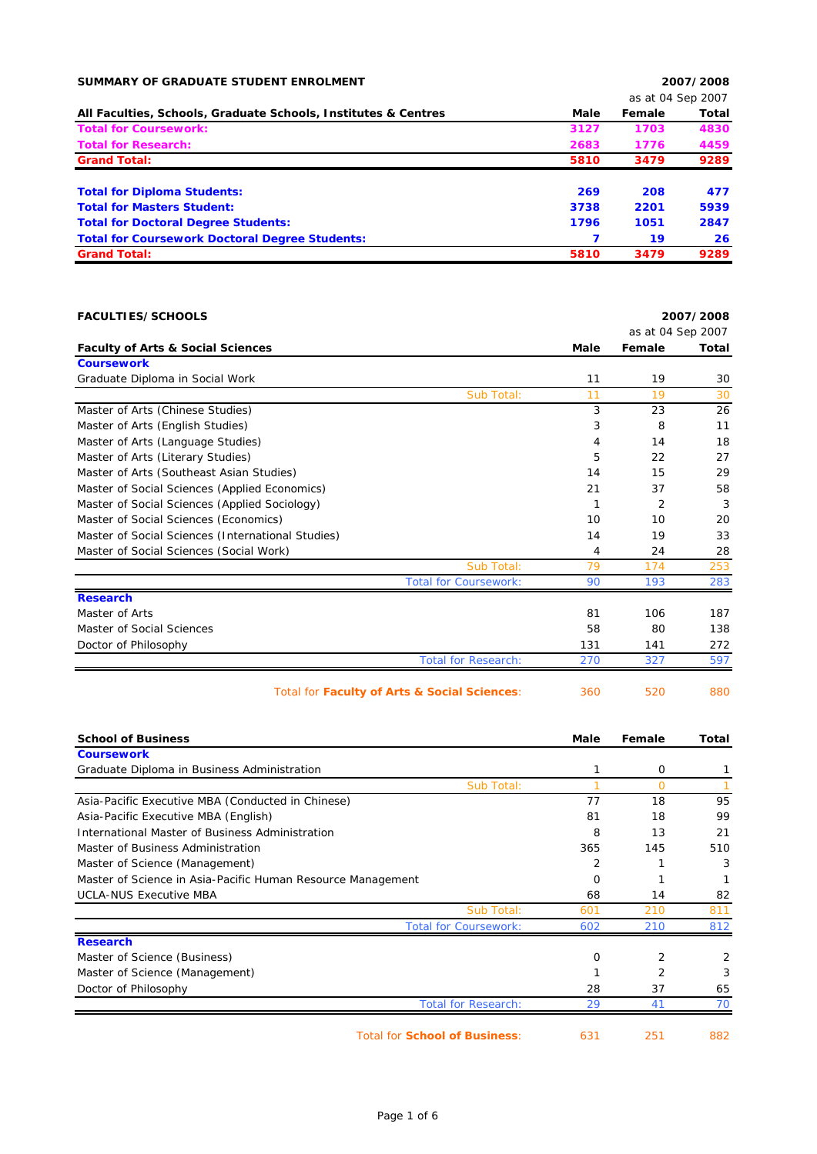| SUMMARY OF GRADUATE STUDENT ENROLMENT                          |      |                   | 2007/2008 |
|----------------------------------------------------------------|------|-------------------|-----------|
|                                                                |      | as at 04 Sep 2007 |           |
| All Faculties, Schools, Graduate Schools, Institutes & Centres | Male | Female            | Total     |
| <b>Total for Coursework:</b>                                   | 3127 | 1703              | 4830      |
| <b>Total for Research:</b>                                     | 2683 | 1776              | 4459      |
| <b>Grand Total:</b>                                            | 5810 | 3479              | 9289      |
| <b>Total for Diploma Students:</b>                             | 269  | 208               | 477       |
| <b>Total for Masters Student:</b>                              | 3738 | 2201              | 5939      |
| <b>Total for Doctoral Degree Students:</b>                     | 1796 | 1051              | 2847      |
| <b>Total for Coursework Doctoral Degree Students:</b>          | 7    | 19                | 26        |
| <b>Grand Total:</b>                                            | 5810 | 3479              | 9289      |

| <b>FACULTIES/SCHOOLS</b>                          |              |                   | 2007/2008    |
|---------------------------------------------------|--------------|-------------------|--------------|
|                                                   |              | as at 04 Sep 2007 |              |
| <b>Faculty of Arts &amp; Social Sciences</b>      | Male         | Female            | <b>Total</b> |
| <b>Coursework</b>                                 |              |                   |              |
| Graduate Diploma in Social Work                   | 11           | 19                | 30           |
| Sub Total:                                        | 11           | 19                | 30           |
| Master of Arts (Chinese Studies)                  | 3            | 23                | 26           |
| Master of Arts (English Studies)                  | 3            | 8                 | 11           |
| Master of Arts (Language Studies)                 | 4            | 14                | 18           |
| Master of Arts (Literary Studies)                 | 5            | 22                | 27           |
| Master of Arts (Southeast Asian Studies)          | 14           | 15                | 29           |
| Master of Social Sciences (Applied Economics)     | 21           | 37                | 58           |
| Master of Social Sciences (Applied Sociology)     | $\mathbf{1}$ | $\overline{2}$    | 3            |
| Master of Social Sciences (Economics)             | 10           | 10                | 20           |
| Master of Social Sciences (International Studies) | 14           | 19                | 33           |
| Master of Social Sciences (Social Work)           | 4            | 24                | 28           |
| Sub Total:                                        | 79           | 174               | 253          |
| <b>Total for Coursework:</b>                      | 90           | 193               | 283          |
| <b>Research</b>                                   |              |                   |              |
| Master of Arts                                    | 81           | 106               | 187          |
| Master of Social Sciences                         | 58           | 80                | 138          |
| Doctor of Philosophy                              | 131          | 141               | 272          |
| <b>Total for Research:</b>                        | 270          | 327               | 597          |
| Total for Faculty of Arts & Social Sciences:      | 360          | 520               | 880          |
| <b>School of Business</b>                         | Male         | Female            | <b>Total</b> |
| <b>Coursework</b>                                 |              |                   |              |
| Graduate Diploma in Business Administration       | 1            | 0                 | 1            |
| Sub Total:                                        | 1            | $\Omega$          |              |
| Asia-Pacific Executive MBA (Conducted in Chinese) | 77           | 18                | 95           |

| Asia-Pacific Executive MBA (Conducted in Chinese)           | 77  | 18             | 95  |
|-------------------------------------------------------------|-----|----------------|-----|
| Asia-Pacific Executive MBA (English)                        | 81  | 18             | 99  |
| International Master of Business Administration             | 8   | 13             | 21  |
| Master of Business Administration                           | 365 | 145            | 510 |
| Master of Science (Management)                              |     |                | 3   |
| Master of Science in Asia-Pacific Human Resource Management |     |                |     |
| <b>UCLA-NUS Executive MBA</b>                               | 68  | 14             | 82  |
| Sub Total:                                                  | 601 | 210            | 811 |
| <b>Total for Coursework:</b>                                | 602 | 210            | 812 |
| <b>Research</b>                                             |     |                |     |
| Master of Science (Business)                                | O   |                | 2   |
| Master of Science (Management)                              |     |                | 3   |
| Doctor of Philosophy                                        | 28  | 37             | 65  |
| <b>Total for Research:</b>                                  | 29  | 4 <sup>1</sup> | 70  |

Total for **School of Business**: 631 251 882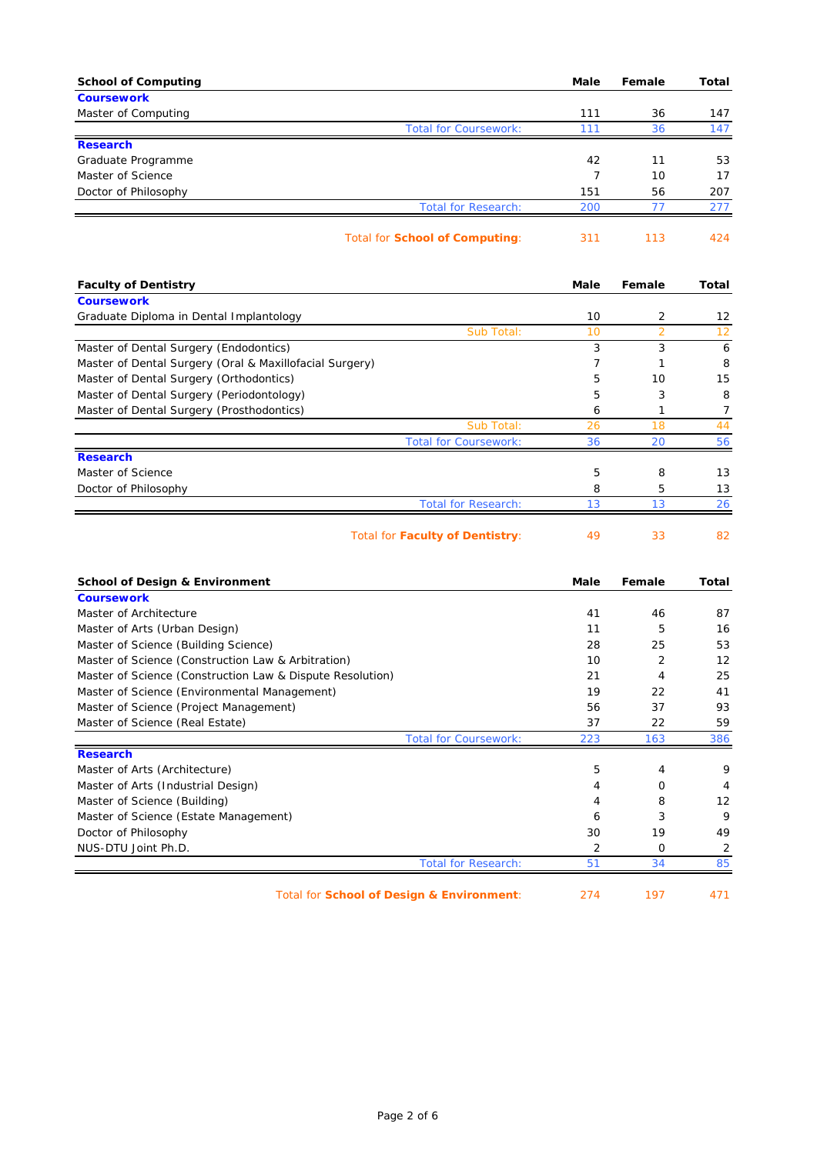| <b>School of Computing</b>                                | Male                 | Female         | Total    |
|-----------------------------------------------------------|----------------------|----------------|----------|
| <b>Coursework</b>                                         |                      |                |          |
| Master of Computing                                       | 111                  | 36             | 147      |
| <b>Total for Coursework:</b>                              | 111                  | 36             | 147      |
| <b>Research</b>                                           |                      | 11             |          |
| Graduate Programme<br>Master of Science                   | 42<br>$\overline{7}$ | 10             | 53<br>17 |
| Doctor of Philosophy                                      | 151                  | 56             | 207      |
| <b>Total for Research:</b>                                | 200                  | 77             | 277      |
|                                                           |                      |                |          |
| Total for School of Computing:                            | 311                  | 113            | 424      |
| <b>Faculty of Dentistry</b>                               | Male                 | Female         | Total    |
| <b>Coursework</b>                                         |                      |                |          |
| Graduate Diploma in Dental Implantology                   | 10                   | 2              | 12       |
| Sub Total:                                                | 10                   | $\overline{2}$ | 12       |
| Master of Dental Surgery (Endodontics)                    | 3                    | 3              | 6        |
| Master of Dental Surgery (Oral & Maxillofacial Surgery)   | 7                    | 1              | 8        |
| Master of Dental Surgery (Orthodontics)                   | 5                    | 10             | 15       |
| Master of Dental Surgery (Periodontology)                 | 5                    | 3              | 8        |
| Master of Dental Surgery (Prosthodontics)                 | 6                    | 1              | 7        |
| Sub Total:<br><b>Total for Coursework:</b>                | 26                   | 18             | 44       |
| <b>Research</b>                                           | 36                   | 20             | 56       |
| Master of Science                                         | 5                    | 8              | 13       |
| Doctor of Philosophy                                      | 8                    | 5              | 13       |
| <b>Total for Research:</b>                                | 13                   | 13             | 26       |
| <b>Total for Faculty of Dentistry:</b>                    | 49                   | 33             | 82       |
| <b>School of Design &amp; Environment</b>                 | Male                 | Female         | Total    |
| <b>Coursework</b>                                         |                      |                |          |
| Master of Architecture                                    | 41                   | 46             | 87       |
| Master of Arts (Urban Design)                             | 11                   | 5              | 16       |
| Master of Science (Building Science)                      | 28                   | 25             | 53       |
| Master of Science (Construction Law & Arbitration)        | 10                   | 2              | 12       |
| Master of Science (Construction Law & Dispute Resolution) | 21                   | 4              | 25       |
| Master of Science (Environmental Management)              | 19                   | 22             | 41       |
| Master of Science (Project Management)                    | 56                   | 37             | 93       |
| Master of Science (Real Estate)                           | 37                   | 22             | 59       |
| <b>Total for Coursework:</b><br><b>Research</b>           | 223                  | 163            | 386      |
| Master of Arts (Architecture)                             | 5                    | 4              | 9        |
| Master of Arts (Industrial Design)                        | 4                    | 0              | 4        |
| Master of Science (Building)                              | 4                    | 8              | 12       |
| Master of Science (Estate Management)                     | 6                    | 3              | 9        |
| Doctor of Philosophy                                      | 30                   | 19             | 49       |
| NUS-DTU Joint Ph.D.                                       | 2                    | 0              | 2        |
| <b>Total for Research:</b>                                | 51                   | 34             | 85       |
|                                                           |                      |                |          |

Total for **School of Design & Environment**: 274 197 471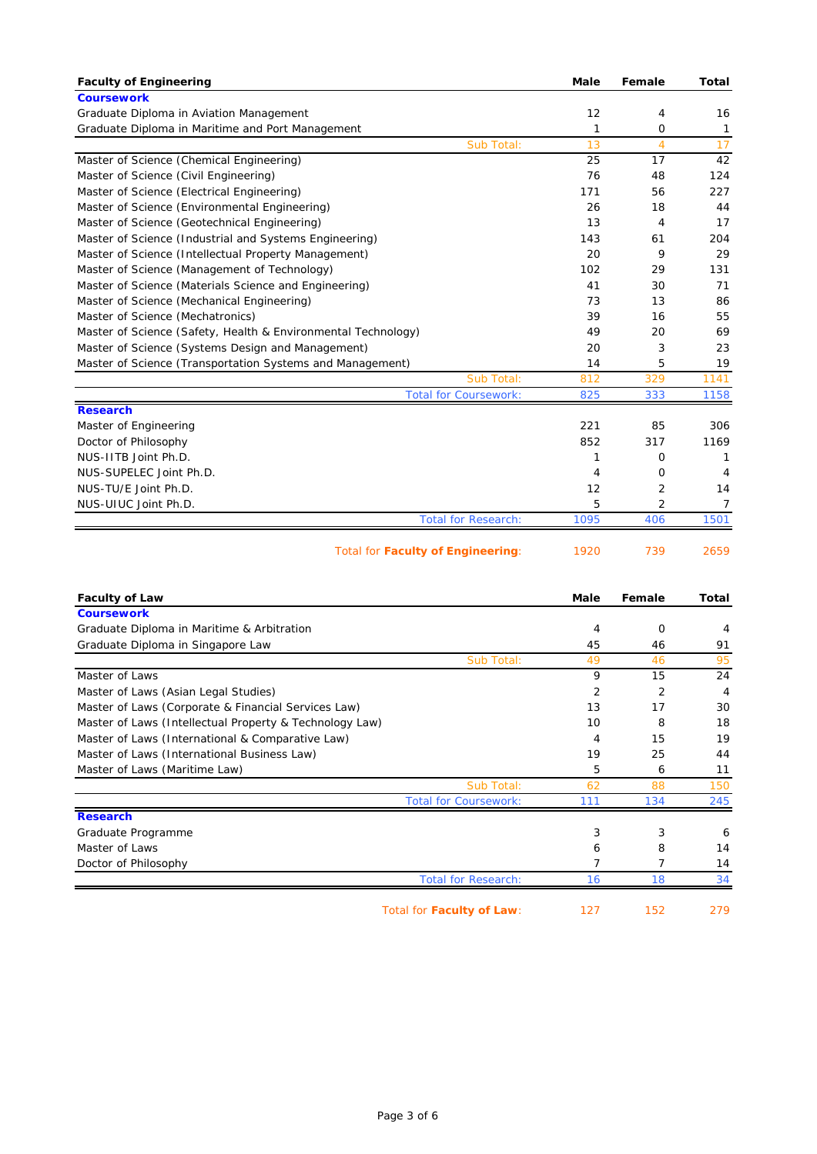| <b>Faculty of Engineering</b>                                 | <b>Male</b> | Female         | <b>Total</b>   |
|---------------------------------------------------------------|-------------|----------------|----------------|
| <b>Coursework</b>                                             |             |                |                |
| Graduate Diploma in Aviation Management                       | 12          | 4              | 16             |
| Graduate Diploma in Maritime and Port Management              | 1           | O              | $\mathbf{1}$   |
| Sub Total:                                                    | 13          | $\overline{4}$ | 17             |
| Master of Science (Chemical Engineering)                      | 25          | 17             | 42             |
| Master of Science (Civil Engineering)                         | 76          | 48             | 124            |
| Master of Science (Electrical Engineering)                    | 171         | 56             | 227            |
| Master of Science (Environmental Engineering)                 | 26          | 18             | 44             |
| Master of Science (Geotechnical Engineering)                  | 13          | $\overline{4}$ | 17             |
| Master of Science (Industrial and Systems Engineering)        | 143         | 61             | 204            |
| Master of Science (Intellectual Property Management)          | 20          | 9              | 29             |
| Master of Science (Management of Technology)                  | 102         | 29             | 131            |
| Master of Science (Materials Science and Engineering)         | 41          | 30             | 71             |
| Master of Science (Mechanical Engineering)                    | 73          | 13             | 86             |
| Master of Science (Mechatronics)                              | 39          | 16             | 55             |
| Master of Science (Safety, Health & Environmental Technology) | 49          | 20             | 69             |
| Master of Science (Systems Design and Management)             | 20          | 3              | 23             |
| Master of Science (Transportation Systems and Management)     | 14          | 5              | 19             |
| Sub Total:                                                    | 812         | 329            | 1141           |
| <b>Total for Coursework:</b>                                  | 825         | 333            | 1158           |
| <b>Research</b>                                               |             |                |                |
| Master of Engineering                                         | 221         | 85             | 306            |
| Doctor of Philosophy                                          | 852         | 317            | 1169           |
| NUS-IITB Joint Ph.D.                                          | 1           | O              | 1              |
| NUS-SUPELEC Joint Ph.D.                                       | 4           | O              | 4              |
| NUS-TU/E Joint Ph.D.                                          | 12          | 2              | 14             |
| NUS-UIUC Joint Ph.D.                                          | 5           | 2              | $\overline{7}$ |
| <b>Total for Research:</b>                                    | 1095        | 406            | 1501           |
| <b>Total for Faculty of Engineering:</b>                      | 1920        | 739            | 2659           |

| <b>Faculty of Law</b>                                   |                              | Male           | Female         | Total |
|---------------------------------------------------------|------------------------------|----------------|----------------|-------|
| <b>Coursework</b>                                       |                              |                |                |       |
| Graduate Diploma in Maritime & Arbitration              |                              | 4              | $\Omega$       | 4     |
| Graduate Diploma in Singapore Law                       |                              | 45             | 46             | 91    |
|                                                         | Sub Total:                   | 49             | 46             | 95    |
| Master of Laws                                          |                              | 9              | 15             | 24    |
| Master of Laws (Asian Legal Studies)                    |                              | $\overline{2}$ | $\overline{2}$ | 4     |
| Master of Laws (Corporate & Financial Services Law)     |                              | 13             | 17             | 30    |
| Master of Laws (Intellectual Property & Technology Law) |                              | 10             | 8              | 18    |
| Master of Laws (International & Comparative Law)        |                              | 4              | 15             | 19    |
| Master of Laws (International Business Law)             |                              | 19             | 25             | 44    |
| Master of Laws (Maritime Law)                           |                              | 5              | 6              | 11    |
|                                                         | Sub Total:                   | 62             | 88             | 150   |
|                                                         | <b>Total for Coursework:</b> | 111            | 134            | 245   |
| <b>Research</b>                                         |                              |                |                |       |
| Graduate Programme                                      |                              | 3              | 3              | 6     |
| Master of Laws                                          |                              | 6              | 8              | 14    |
| Doctor of Philosophy                                    |                              |                | 7              | 14    |
|                                                         | <b>Total for Research:</b>   | 16             | 18             | 34    |
| Total for Faculty of Law:                               |                              | 127            | 152            | 279   |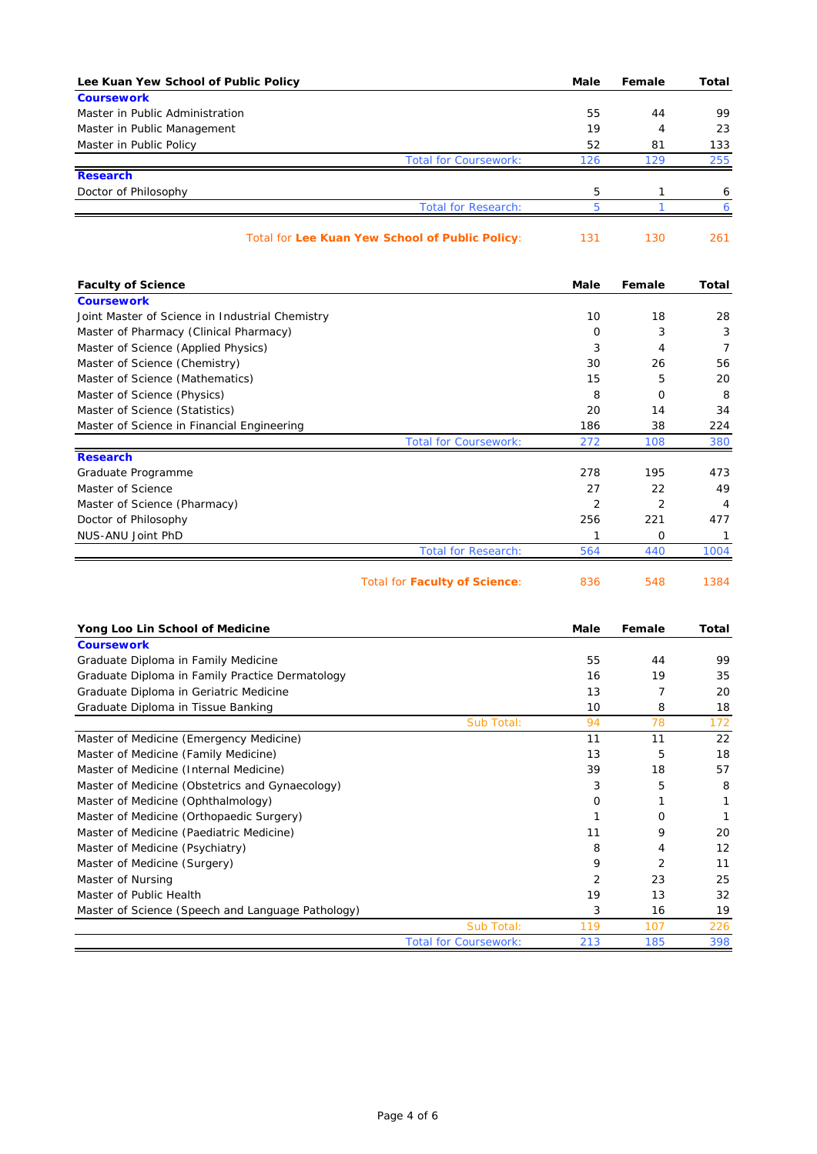| Lee Kuan Yew School of Public Policy |                                                 | Male | Female | Total |
|--------------------------------------|-------------------------------------------------|------|--------|-------|
| <b>Coursework</b>                    |                                                 |      |        |       |
| Master in Public Administration      |                                                 | 55   | 44     | 99    |
| Master in Public Management          |                                                 | 19   | 4      | 23    |
| Master in Public Policy              |                                                 | 52   | 81     | 133   |
|                                      | <b>Total for Coursework:</b>                    | 126  | 129    | 255   |
| <b>Research</b>                      |                                                 |      |        |       |
| Doctor of Philosophy                 |                                                 | 5    |        | 6     |
|                                      | <b>Total for Research:</b>                      |      |        |       |
|                                      | Total for Lee Kuan Yew School of Public Policy: | 131  | 130    | 261   |

| <b>Faculty of Science</b>                       |                                      | Male           | Female         | Total |
|-------------------------------------------------|--------------------------------------|----------------|----------------|-------|
| <b>Coursework</b>                               |                                      |                |                |       |
| Joint Master of Science in Industrial Chemistry |                                      | 10             | 18             | 28    |
| Master of Pharmacy (Clinical Pharmacy)          |                                      | 0              | 3              | 3     |
| Master of Science (Applied Physics)             |                                      | 3              | 4              | 7     |
| Master of Science (Chemistry)                   |                                      | 30             | 26             | 56    |
| Master of Science (Mathematics)                 |                                      | 15             | 5              | 20    |
| Master of Science (Physics)                     |                                      | 8              | $\Omega$       | 8     |
| Master of Science (Statistics)                  |                                      | 20             | 14             | 34    |
| Master of Science in Financial Engineering      |                                      | 186            | 38             | 224   |
|                                                 | <b>Total for Coursework:</b>         | 272            | 108            | 380   |
| <b>Research</b>                                 |                                      |                |                |       |
| Graduate Programme                              |                                      | 278            | 195            | 473   |
| Master of Science                               |                                      | 27             | 22             | 49    |
| Master of Science (Pharmacy)                    |                                      | $\overline{2}$ | $\overline{2}$ | 4     |
| Doctor of Philosophy                            |                                      | 256            | 221            | 477   |
| NUS-ANU Joint PhD                               |                                      |                | 0              |       |
|                                                 | <b>Total for Research:</b>           | 564            | 440            | 1004  |
|                                                 | Total for <b>Faculty of Science:</b> | 836            | 548            | 1384  |

| Yong Loo Lin School of Medicine                   |                              | Male           | Female         | Total |
|---------------------------------------------------|------------------------------|----------------|----------------|-------|
| <b>Coursework</b>                                 |                              |                |                |       |
| Graduate Diploma in Family Medicine               |                              | 55             | 44             | 99    |
| Graduate Diploma in Family Practice Dermatology   |                              | 16             | 19             | 35    |
| Graduate Diploma in Geriatric Medicine            |                              | 13             | 7              | 20    |
| Graduate Diploma in Tissue Banking                |                              | 10             | 8              | 18    |
|                                                   | Sub Total:                   | 94             | 78             | 172   |
| Master of Medicine (Emergency Medicine)           |                              | 11             | 11             | 22    |
| Master of Medicine (Family Medicine)              |                              | 13             | 5              | 18    |
| Master of Medicine (Internal Medicine)            |                              | 39             | 18             | 57    |
| Master of Medicine (Obstetrics and Gynaecology)   |                              | 3              | 5              | 8     |
| Master of Medicine (Ophthalmology)                |                              | 0              |                |       |
| Master of Medicine (Orthopaedic Surgery)          |                              |                | $\Omega$       |       |
| Master of Medicine (Paediatric Medicine)          |                              | 11             | 9              | 20    |
| Master of Medicine (Psychiatry)                   |                              | 8              | 4              | 12    |
| Master of Medicine (Surgery)                      |                              | 9              | $\overline{2}$ | 11    |
| Master of Nursing                                 |                              | $\overline{2}$ | 23             | 25    |
| Master of Public Health                           |                              | 19             | 13             | 32    |
| Master of Science (Speech and Language Pathology) |                              | 3              | 16             | 19    |
|                                                   | Sub Total:                   | 119            | 107            | 226   |
|                                                   | <b>Total for Coursework:</b> | 213            | 185            | 398   |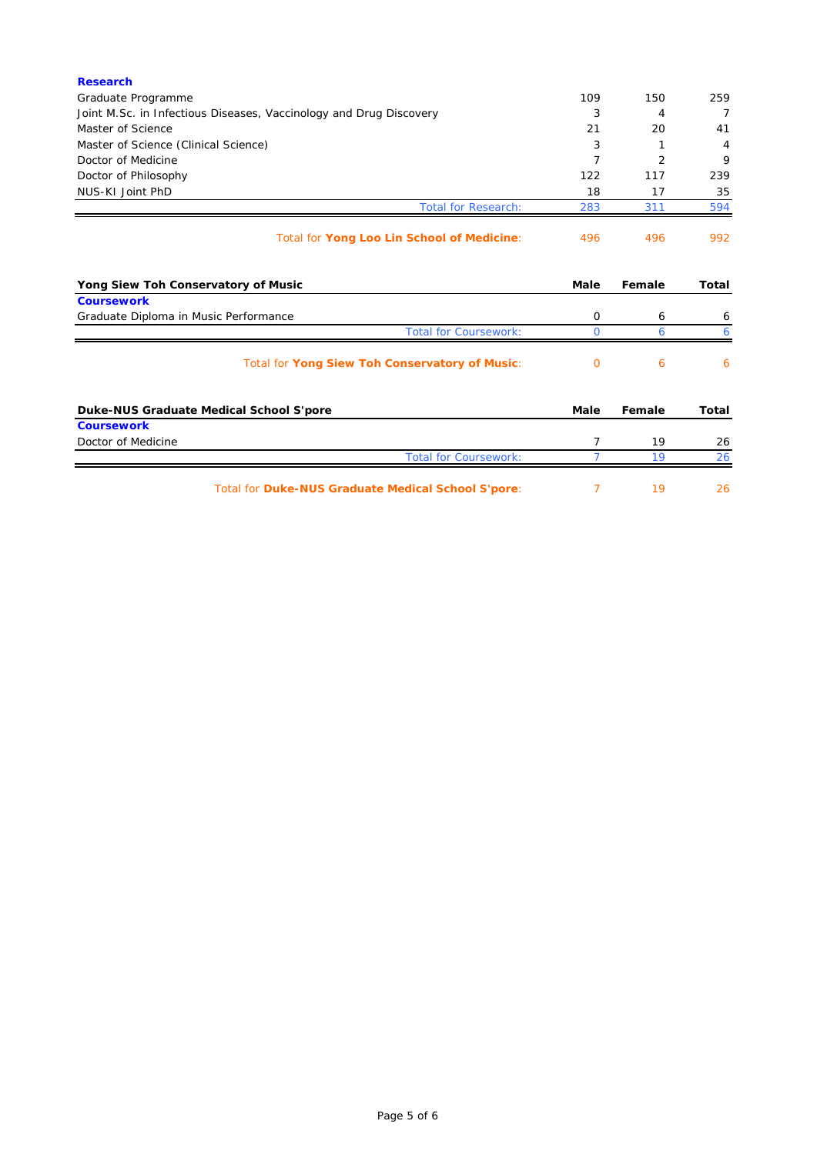| <b>Research</b>                                                       |      |                |              |
|-----------------------------------------------------------------------|------|----------------|--------------|
| Graduate Programme                                                    | 109  | 150            | 259          |
| Joint M.Sc. in Infectious Diseases, Vaccinology and Drug Discovery    | 3    | 4              | 7            |
| Master of Science                                                     | 21   | 20             | 41           |
| Master of Science (Clinical Science)                                  | 3    | 1              | 4            |
| Doctor of Medicine                                                    | 7    | $\overline{2}$ | 9            |
| Doctor of Philosophy                                                  | 122  | 117            | 239          |
| NUS-KI Joint PhD                                                      | 18   | 17             | 35           |
| <b>Total for Research:</b>                                            | 283  | 311            | 594          |
| Total for Yong Loo Lin School of Medicine:                            | 496  | 496            | 992          |
| Yong Siew Toh Conservatory of Music                                   | Male | Female         | Total        |
| <b>Coursework</b>                                                     | 0    |                |              |
| Graduate Diploma in Music Performance<br><b>Total for Coursework:</b> | 0    | 6<br>6         | 6<br>6       |
| Total for Yong Siew Toh Conservatory of Music:                        | 0    | 6              | 6            |
| Duke-NUS Graduate Medical School S'pore                               | Male | Female         | <b>Total</b> |
| <b>Coursework</b>                                                     |      |                |              |
| Doctor of Medicine                                                    | 7    | 19             | 26           |
| <b>Total for Coursework:</b>                                          | 7    | 19             | 26           |
| <b>Total for Duke-NUS Graduate Medical School S'pore:</b>             | 7    | 19             | 26           |